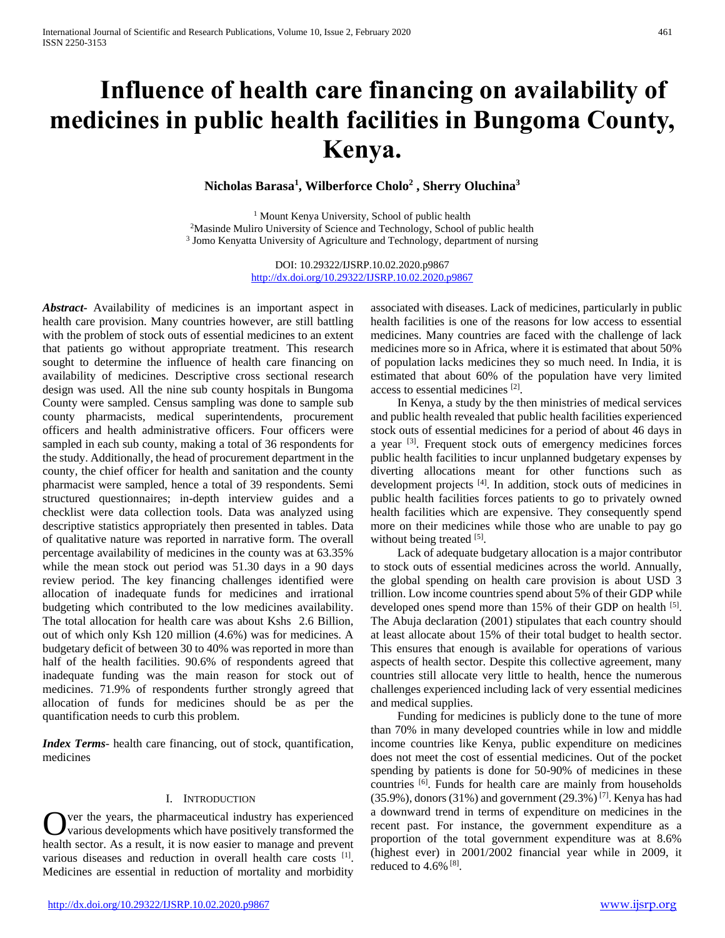# **Influence of health care financing on availability of medicines in public health facilities in Bungoma County, Kenya.**

**Nicholas Barasa<sup>1</sup> , Wilberforce Cholo<sup>2</sup> , Sherry Oluchina<sup>3</sup>**

<sup>1</sup> Mount Kenya University, School of public health <sup>2</sup>Masinde Muliro University of Science and Technology, School of public health <sup>3</sup> Jomo Kenyatta University of Agriculture and Technology, department of nursing

> DOI: 10.29322/IJSRP.10.02.2020.p9867 <http://dx.doi.org/10.29322/IJSRP.10.02.2020.p9867>

*Abstract***-** Availability of medicines is an important aspect in health care provision. Many countries however, are still battling with the problem of stock outs of essential medicines to an extent that patients go without appropriate treatment. This research sought to determine the influence of health care financing on availability of medicines. Descriptive cross sectional research design was used. All the nine sub county hospitals in Bungoma County were sampled. Census sampling was done to sample sub county pharmacists, medical superintendents, procurement officers and health administrative officers. Four officers were sampled in each sub county, making a total of 36 respondents for the study. Additionally, the head of procurement department in the county, the chief officer for health and sanitation and the county pharmacist were sampled, hence a total of 39 respondents. Semi structured questionnaires; in-depth interview guides and a checklist were data collection tools. Data was analyzed using descriptive statistics appropriately then presented in tables. Data of qualitative nature was reported in narrative form. The overall percentage availability of medicines in the county was at 63.35% while the mean stock out period was 51.30 days in a 90 days review period. The key financing challenges identified were allocation of inadequate funds for medicines and irrational budgeting which contributed to the low medicines availability. The total allocation for health care was about Kshs 2.6 Billion, out of which only Ksh 120 million (4.6%) was for medicines. A budgetary deficit of between 30 to 40% was reported in more than half of the health facilities. 90.6% of respondents agreed that inadequate funding was the main reason for stock out of medicines. 71.9% of respondents further strongly agreed that allocation of funds for medicines should be as per the quantification needs to curb this problem.

*Index Terms*- health care financing, out of stock, quantification, medicines

## I. INTRODUCTION

ver the years, the pharmaceutical industry has experienced various developments which have positively transformed the health sector. As a result, it is now easier to manage and prevent various diseases and reduction in overall health care costs [1]. Medicines are essential in reduction of mortality and morbidity O

<http://dx.doi.org/10.29322/IJSRP.10.02.2020.p9867> [www.ijsrp.org](http://ijsrp.org/)

associated with diseases. Lack of medicines, particularly in public health facilities is one of the reasons for low access to essential medicines. Many countries are faced with the challenge of lack medicines more so in Africa, where it is estimated that about 50% of population lacks medicines they so much need. In India, it is estimated that about 60% of the population have very limited access to essential medicines [2].

 In Kenya, a study by the then ministries of medical services and public health revealed that public health facilities experienced stock outs of essential medicines for a period of about 46 days in a year  $[3]$ . Frequent stock outs of emergency medicines forces public health facilities to incur unplanned budgetary expenses by diverting allocations meant for other functions such as development projects [4]. In addition, stock outs of medicines in public health facilities forces patients to go to privately owned health facilities which are expensive. They consequently spend more on their medicines while those who are unable to pay go without being treated [5].

 Lack of adequate budgetary allocation is a major contributor to stock outs of essential medicines across the world. Annually, the global spending on health care provision is about USD 3 trillion. Low income countries spend about 5% of their GDP while developed ones spend more than 15% of their GDP on health <sup>[5]</sup>. The Abuja declaration (2001) stipulates that each country should at least allocate about 15% of their total budget to health sector. This ensures that enough is available for operations of various aspects of health sector. Despite this collective agreement, many countries still allocate very little to health, hence the numerous challenges experienced including lack of very essential medicines and medical supplies.

 Funding for medicines is publicly done to the tune of more than 70% in many developed countries while in low and middle income countries like Kenya, public expenditure on medicines does not meet the cost of essential medicines. Out of the pocket spending by patients is done for 50-90% of medicines in these countries [6]. Funds for health care are mainly from households  $(35.9\%)$ , donors  $(31\%)$  and government  $(29.3\%)$ <sup>[7]</sup>. Kenya has had a downward trend in terms of expenditure on medicines in the recent past. For instance, the government expenditure as a proportion of the total government expenditure was at 8.6% (highest ever) in 2001/2002 financial year while in 2009, it reduced to 4.6% [8] .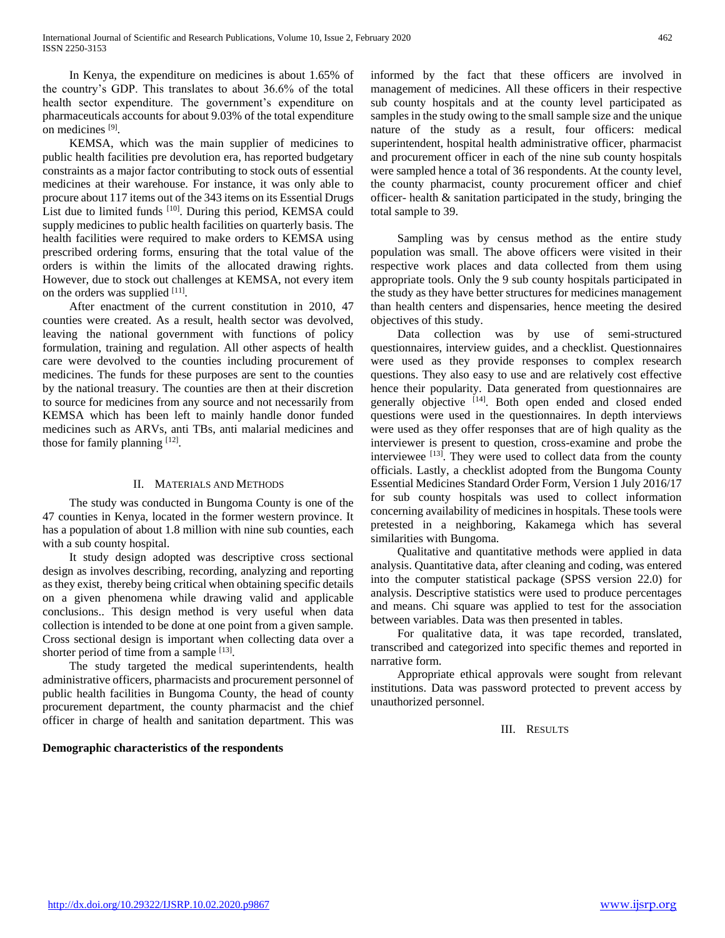In Kenya, the expenditure on medicines is about 1.65% of the country's GDP. This translates to about 36.6% of the total health sector expenditure. The government's expenditure on pharmaceuticals accounts for about 9.03% of the total expenditure on medicines [9] .

 KEMSA, which was the main supplier of medicines to public health facilities pre devolution era, has reported budgetary constraints as a major factor contributing to stock outs of essential medicines at their warehouse. For instance, it was only able to procure about 117 items out of the 343 items on its Essential Drugs List due to limited funds <sup>[10]</sup>. During this period, KEMSA could supply medicines to public health facilities on quarterly basis. The health facilities were required to make orders to KEMSA using prescribed ordering forms, ensuring that the total value of the orders is within the limits of the allocated drawing rights. However, due to stock out challenges at KEMSA, not every item on the orders was supplied [11].

 After enactment of the current constitution in 2010, 47 counties were created. As a result, health sector was devolved, leaving the national government with functions of policy formulation, training and regulation. All other aspects of health care were devolved to the counties including procurement of medicines. The funds for these purposes are sent to the counties by the national treasury. The counties are then at their discretion to source for medicines from any source and not necessarily from KEMSA which has been left to mainly handle donor funded medicines such as ARVs, anti TBs, anti malarial medicines and those for family planning  $[12]$ .

## II. MATERIALS AND METHODS

 The study was conducted in Bungoma County is one of the 47 counties in Kenya, located in the former western province. It has a population of about 1.8 million with nine sub counties, each with a sub county hospital.

 It study design adopted was descriptive cross sectional design as involves describing, recording, analyzing and reporting as they exist, thereby being critical when obtaining specific details on a given phenomena while drawing valid and applicable conclusions.. This design method is very useful when data collection is intended to be done at one point from a given sample. Cross sectional design is important when collecting data over a shorter period of time from a sample [13].

 The study targeted the medical superintendents, health administrative officers, pharmacists and procurement personnel of public health facilities in Bungoma County, the head of county procurement department, the county pharmacist and the chief officer in charge of health and sanitation department. This was

## **Demographic characteristics of the respondents**

informed by the fact that these officers are involved in management of medicines. All these officers in their respective sub county hospitals and at the county level participated as samples in the study owing to the small sample size and the unique nature of the study as a result, four officers: medical superintendent, hospital health administrative officer, pharmacist and procurement officer in each of the nine sub county hospitals were sampled hence a total of 36 respondents. At the county level, the county pharmacist, county procurement officer and chief officer- health & sanitation participated in the study, bringing the total sample to 39.

 Sampling was by census method as the entire study population was small. The above officers were visited in their respective work places and data collected from them using appropriate tools. Only the 9 sub county hospitals participated in the study as they have better structures for medicines management than health centers and dispensaries, hence meeting the desired objectives of this study.

 Data collection was by use of semi-structured questionnaires, interview guides, and a checklist. Questionnaires were used as they provide responses to complex research questions. They also easy to use and are relatively cost effective hence their popularity. Data generated from questionnaires are generally objective [14]. Both open ended and closed ended questions were used in the questionnaires. In depth interviews were used as they offer responses that are of high quality as the interviewer is present to question, cross-examine and probe the interviewee [13]. They were used to collect data from the county officials. Lastly, a checklist adopted from the Bungoma County Essential Medicines Standard Order Form, Version 1 July 2016/17 for sub county hospitals was used to collect information concerning availability of medicines in hospitals. These tools were pretested in a neighboring, Kakamega which has several similarities with Bungoma.

 Qualitative and quantitative methods were applied in data analysis. Quantitative data, after cleaning and coding, was entered into the computer statistical package (SPSS version 22.0) for analysis. Descriptive statistics were used to produce percentages and means. Chi square was applied to test for the association between variables. Data was then presented in tables.

 For qualitative data, it was tape recorded, translated, transcribed and categorized into specific themes and reported in narrative form.

 Appropriate ethical approvals were sought from relevant institutions. Data was password protected to prevent access by unauthorized personnel.

III. RESULTS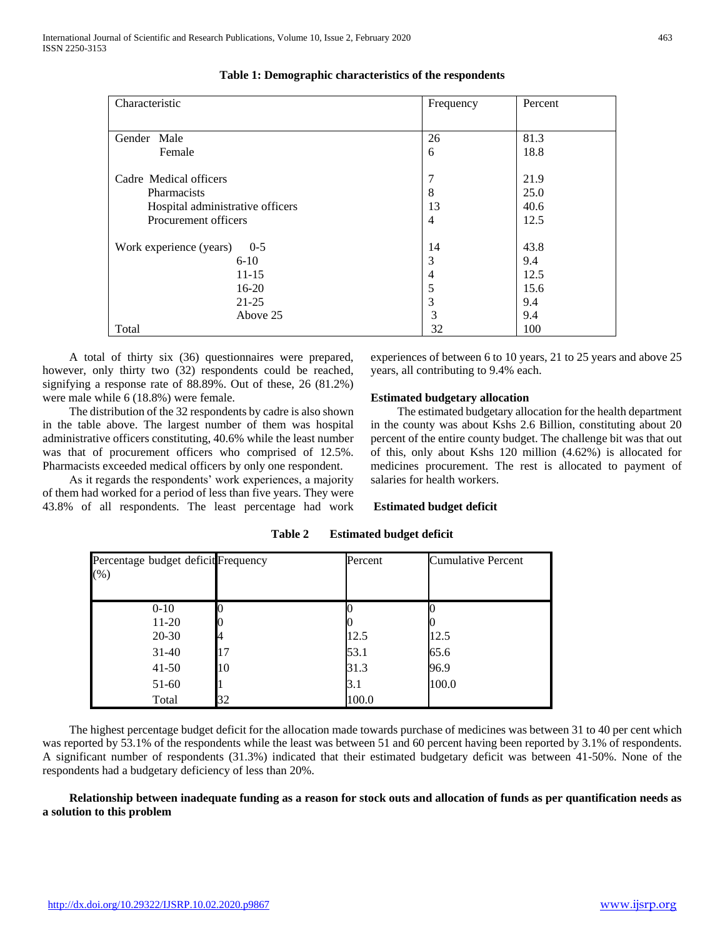| Characteristic                     | Frequency      | Percent |
|------------------------------------|----------------|---------|
|                                    |                |         |
| Gender Male                        | 26             | 81.3    |
| Female                             | 6              | 18.8    |
|                                    |                |         |
| Cadre Medical officers             | 7              | 21.9    |
| <b>Pharmacists</b>                 | 8              | 25.0    |
| Hospital administrative officers   | 13             | 40.6    |
| Procurement officers               | $\overline{4}$ | 12.5    |
| Work experience (years)<br>$0 - 5$ | 14             | 43.8    |
| $6 - 10$                           | 3              | 9.4     |
| $11 - 15$                          | 4              | 12.5    |
| $16-20$                            | 5              | 15.6    |
| $21 - 25$                          | 3              | 9.4     |
| Above 25                           | 3              | 9.4     |
| Total                              | 32             | 100     |

**Table 1: Demographic characteristics of the respondents**

 A total of thirty six (36) questionnaires were prepared, however, only thirty two (32) respondents could be reached, signifying a response rate of 88.89%. Out of these, 26 (81.2%) were male while 6 (18.8%) were female.

 The distribution of the 32 respondents by cadre is also shown in the table above. The largest number of them was hospital administrative officers constituting, 40.6% while the least number was that of procurement officers who comprised of 12.5%. Pharmacists exceeded medical officers by only one respondent.

 As it regards the respondents' work experiences, a majority of them had worked for a period of less than five years. They were 43.8% of all respondents. The least percentage had work experiences of between 6 to 10 years, 21 to 25 years and above 25 years, all contributing to 9.4% each.

# **Estimated budgetary allocation**

 The estimated budgetary allocation for the health department in the county was about Kshs 2.6 Billion, constituting about 20 percent of the entire county budget. The challenge bit was that out of this, only about Kshs 120 million (4.62%) is allocated for medicines procurement. The rest is allocated to payment of salaries for health workers.

## **Estimated budget deficit**

| Percentage budget deficit Frequency<br>(%) |    | Percent | Cumulative Percent |
|--------------------------------------------|----|---------|--------------------|
| $0-10$<br>11-20                            |    |         |                    |
| 20-30                                      |    | 12.5    | 12.5               |
| $31 - 40$                                  | 17 | 53.1    | 65.6               |
| $41-50$                                    | 10 | 31.3    | 96.9               |
| 51-60                                      |    | 3.1     | 100.0              |
| Total                                      | 32 | 100.0   |                    |

**Table 2 Estimated budget deficit**

 The highest percentage budget deficit for the allocation made towards purchase of medicines was between 31 to 40 per cent which was reported by 53.1% of the respondents while the least was between 51 and 60 percent having been reported by 3.1% of respondents. A significant number of respondents (31.3%) indicated that their estimated budgetary deficit was between 41-50%. None of the respondents had a budgetary deficiency of less than 20%.

 **Relationship between inadequate funding as a reason for stock outs and allocation of funds as per quantification needs as a solution to this problem**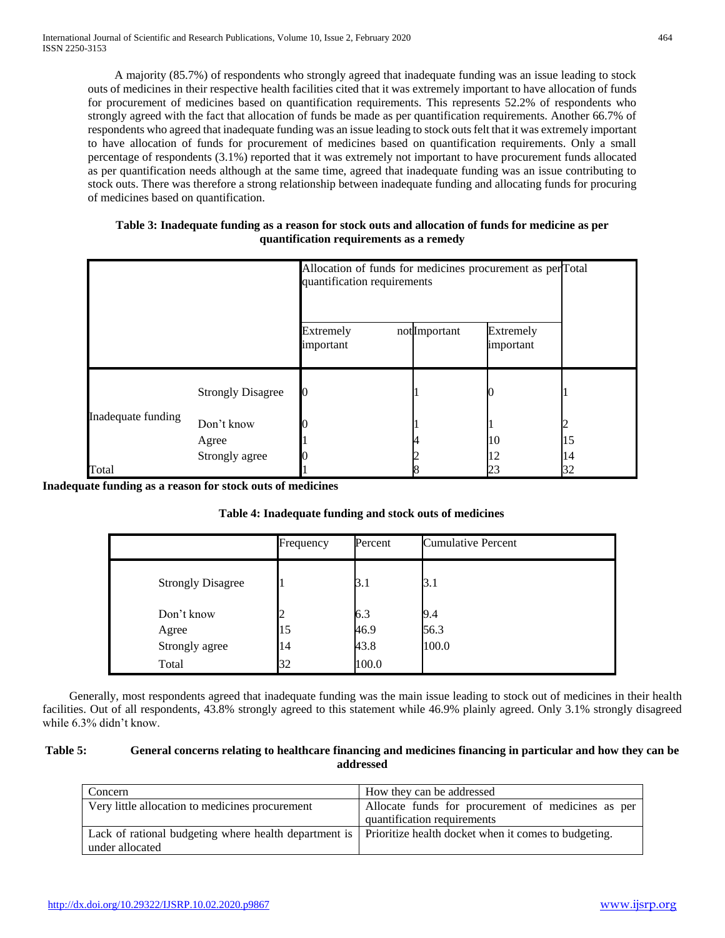A majority (85.7%) of respondents who strongly agreed that inadequate funding was an issue leading to stock outs of medicines in their respective health facilities cited that it was extremely important to have allocation of funds for procurement of medicines based on quantification requirements. This represents 52.2% of respondents who strongly agreed with the fact that allocation of funds be made as per quantification requirements. Another 66.7% of respondents who agreed that inadequate funding was an issue leading to stock outs felt that it was extremely important to have allocation of funds for procurement of medicines based on quantification requirements. Only a small percentage of respondents (3.1%) reported that it was extremely not important to have procurement funds allocated as per quantification needs although at the same time, agreed that inadequate funding was an issue contributing to stock outs. There was therefore a strong relationship between inadequate funding and allocating funds for procuring of medicines based on quantification.

# **Table 3: Inadequate funding as a reason for stock outs and allocation of funds for medicine as per quantification requirements as a remedy**

|                    |                          | Allocation of funds for medicines procurement as perTotal<br>quantification requirements |              |                        |    |
|--------------------|--------------------------|------------------------------------------------------------------------------------------|--------------|------------------------|----|
|                    |                          | Extremely<br>important                                                                   | notImportant | Extremely<br>important |    |
| Inadequate funding | <b>Strongly Disagree</b> |                                                                                          |              |                        |    |
|                    | Don't know               |                                                                                          |              |                        |    |
|                    | Agree                    |                                                                                          |              | 10                     | 15 |
|                    | Strongly agree           |                                                                                          |              |                        | 14 |
| Total              |                          |                                                                                          |              |                        | 32 |

**Inadequate funding as a reason for stock outs of medicines**

|                          | Frequency | Percent | <b>Cumulative Percent</b> |
|--------------------------|-----------|---------|---------------------------|
| <b>Strongly Disagree</b> |           | 3.1     | 3.1                       |
| Don't know               |           | 6.3     | 9.4                       |
| Agree                    | 15        | 46.9    | 56.3                      |
| Strongly agree           | 14        | 43.8    | 100.0                     |
| Total                    | 32        | 100.0   |                           |

 Generally, most respondents agreed that inadequate funding was the main issue leading to stock out of medicines in their health facilities. Out of all respondents, 43.8% strongly agreed to this statement while 46.9% plainly agreed. Only 3.1% strongly disagreed while 6.3% didn't know.

# **Table 5: General concerns relating to healthcare financing and medicines financing in particular and how they can be addressed**

| Concern                                                                                                                         | How they can be addressed                                                         |
|---------------------------------------------------------------------------------------------------------------------------------|-----------------------------------------------------------------------------------|
| Very little allocation to medicines procurement                                                                                 | Allocate funds for procurement of medicines as per<br>quantification requirements |
| Lack of rational budgeting where health department is   Prioritize health docket when it comes to budgeting.<br>under allocated |                                                                                   |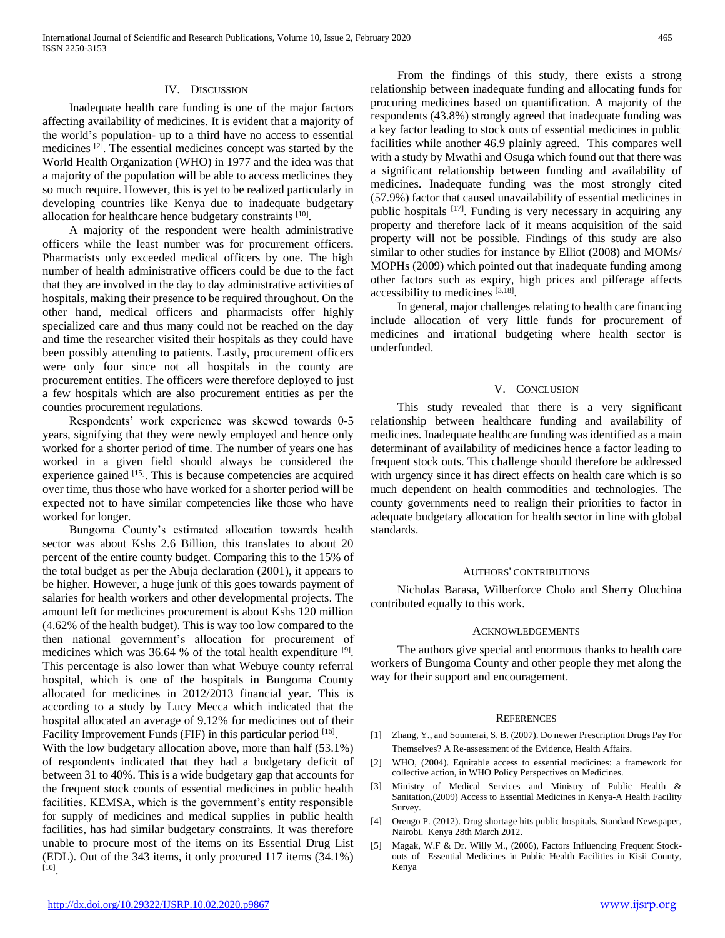#### IV. DISCUSSION

 Inadequate health care funding is one of the major factors affecting availability of medicines. It is evident that a majority of the world's population- up to a third have no access to essential medicines [2]. The essential medicines concept was started by the World Health Organization (WHO) in 1977 and the idea was that a majority of the population will be able to access medicines they so much require. However, this is yet to be realized particularly in developing countries like Kenya due to inadequate budgetary allocation for healthcare hence budgetary constraints [10].

 A majority of the respondent were health administrative officers while the least number was for procurement officers. Pharmacists only exceeded medical officers by one. The high number of health administrative officers could be due to the fact that they are involved in the day to day administrative activities of hospitals, making their presence to be required throughout. On the other hand, medical officers and pharmacists offer highly specialized care and thus many could not be reached on the day and time the researcher visited their hospitals as they could have been possibly attending to patients. Lastly, procurement officers were only four since not all hospitals in the county are procurement entities. The officers were therefore deployed to just a few hospitals which are also procurement entities as per the counties procurement regulations.

 Respondents' work experience was skewed towards 0-5 years, signifying that they were newly employed and hence only worked for a shorter period of time. The number of years one has worked in a given field should always be considered the experience gained [15]. This is because competencies are acquired over time, thus those who have worked for a shorter period will be expected not to have similar competencies like those who have worked for longer.

 Bungoma County's estimated allocation towards health sector was about Kshs 2.6 Billion, this translates to about 20 percent of the entire county budget. Comparing this to the 15% of the total budget as per the Abuja declaration (2001), it appears to be higher. However, a huge junk of this goes towards payment of salaries for health workers and other developmental projects. The amount left for medicines procurement is about Kshs 120 million (4.62% of the health budget). This is way too low compared to the then national government's allocation for procurement of medicines which was 36.64 % of the total health expenditure <sup>[9]</sup>. This percentage is also lower than what Webuye county referral hospital, which is one of the hospitals in Bungoma County allocated for medicines in 2012/2013 financial year. This is according to a study by Lucy Mecca which indicated that the hospital allocated an average of 9.12% for medicines out of their Facility Improvement Funds (FIF) in this particular period [16].

With the low budgetary allocation above, more than half (53.1%) of respondents indicated that they had a budgetary deficit of between 31 to 40%. This is a wide budgetary gap that accounts for the frequent stock counts of essential medicines in public health facilities. KEMSA, which is the government's entity responsible for supply of medicines and medical supplies in public health facilities, has had similar budgetary constraints. It was therefore unable to procure most of the items on its Essential Drug List (EDL). Out of the 343 items, it only procured 117 items (34.1%) [10] .

 From the findings of this study, there exists a strong relationship between inadequate funding and allocating funds for procuring medicines based on quantification. A majority of the respondents (43.8%) strongly agreed that inadequate funding was a key factor leading to stock outs of essential medicines in public facilities while another 46.9 plainly agreed. This compares well with a study by Mwathi and Osuga which found out that there was a significant relationship between funding and availability of medicines. Inadequate funding was the most strongly cited (57.9%) factor that caused unavailability of essential medicines in public hospitals [17]. Funding is very necessary in acquiring any property and therefore lack of it means acquisition of the said property will not be possible. Findings of this study are also similar to other studies for instance by Elliot (2008) and MOMs/ MOPHs (2009) which pointed out that inadequate funding among other factors such as expiry, high prices and pilferage affects accessibility to medicines [3,18].

 In general, major challenges relating to health care financing include allocation of very little funds for procurement of medicines and irrational budgeting where health sector is underfunded.

### V. CONCLUSION

 This study revealed that there is a very significant relationship between healthcare funding and availability of medicines. Inadequate healthcare funding was identified as a main determinant of availability of medicines hence a factor leading to frequent stock outs. This challenge should therefore be addressed with urgency since it has direct effects on health care which is so much dependent on health commodities and technologies. The county governments need to realign their priorities to factor in adequate budgetary allocation for health sector in line with global standards.

#### AUTHORS' CONTRIBUTIONS

 Nicholas Barasa, Wilberforce Cholo and Sherry Oluchina contributed equally to this work.

#### ACKNOWLEDGEMENTS

 The authors give special and enormous thanks to health care workers of Bungoma County and other people they met along the way for their support and encouragement.

#### **REFERENCES**

- [1] Zhang, Y., and Soumerai, S. B. (2007). Do newer Prescription Drugs Pay For Themselves? A Re-assessment of the Evidence, Health Affairs.
- [2] WHO, (2004). Equitable access to essential medicines: a framework for collective action, in WHO Policy Perspectives on Medicines.
- [3] Ministry of Medical Services and Ministry of Public Health & Sanitation,(2009) Access to Essential Medicines in Kenya-A Health Facility Survey.
- [4] Orengo P. (2012). Drug shortage hits public hospitals, Standard Newspaper, Nairobi. Kenya 28th March 2012.
- [5] Magak, W.F & Dr. Willy M., (2006), Factors Influencing Frequent Stockouts of Essential Medicines in Public Health Facilities in Kisii County, Kenya